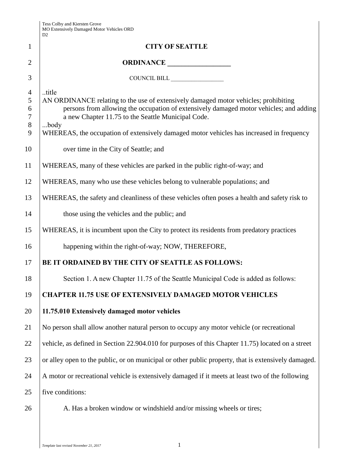| Tess Colby and Kiersten Grove<br>MO Extensively Damaged Motor Vehicles ORD<br>D2 |
|----------------------------------------------------------------------------------|
|                                                                                  |
|                                                                                  |

|                 | MU Extensively Damaged Motor Venicles ORD<br>D2                                                     |  |
|-----------------|-----------------------------------------------------------------------------------------------------|--|
| $\mathbf{1}$    | <b>CITY OF SEATTLE</b>                                                                              |  |
| $\overline{2}$  | ORDINANCE                                                                                           |  |
| 3               | COUNCIL BILL                                                                                        |  |
| $\overline{4}$  | title                                                                                               |  |
| 5               | AN ORDINANCE relating to the use of extensively damaged motor vehicles; prohibiting                 |  |
| 6               | persons from allowing the occupation of extensively damaged motor vehicles; and adding              |  |
| $\tau$<br>$8\,$ | a new Chapter 11.75 to the Seattle Municipal Code.<br>body                                          |  |
| 9               | WHEREAS, the occupation of extensively damaged motor vehicles has increased in frequency            |  |
| 10              | over time in the City of Seattle; and                                                               |  |
| 11              | WHEREAS, many of these vehicles are parked in the public right-of-way; and                          |  |
| 12              | WHEREAS, many who use these vehicles belong to vulnerable populations; and                          |  |
| 13              | WHEREAS, the safety and cleanliness of these vehicles often poses a health and safety risk to       |  |
| 14              | those using the vehicles and the public; and                                                        |  |
| 15              | WHEREAS, it is incumbent upon the City to protect its residents from predatory practices            |  |
| 16              | happening within the right-of-way; NOW, THEREFORE,                                                  |  |
| 17              | BE IT ORDAINED BY THE CITY OF SEATTLE AS FOLLOWS:                                                   |  |
| 18              | Section 1. A new Chapter 11.75 of the Seattle Municipal Code is added as follows:                   |  |
| 19              | <b>CHAPTER 11.75 USE OF EXTENSIVELY DAMAGED MOTOR VEHICLES</b>                                      |  |
| 20              | 11.75.010 Extensively damaged motor vehicles                                                        |  |
| 21              | No person shall allow another natural person to occupy any motor vehicle (or recreational           |  |
| 22              | vehicle, as defined in Section 22.904.010 for purposes of this Chapter 11.75) located on a street   |  |
| 23              | or alley open to the public, or on municipal or other public property, that is extensively damaged. |  |
| 24              | A motor or recreational vehicle is extensively damaged if it meets at least two of the following    |  |
| 25              | five conditions:                                                                                    |  |
| 26              | A. Has a broken window or windshield and/or missing wheels or tires;                                |  |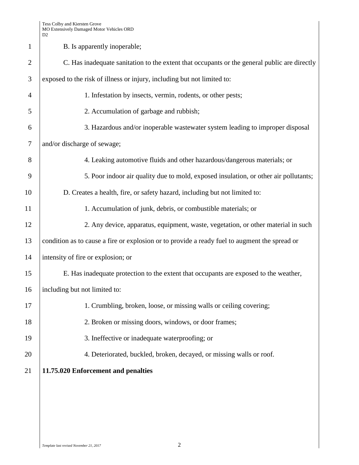Tess Colby and Kiersten Grove MO Extensively Damaged Motor Vehicles ORD D2

|                | DΖ                                                                                            |  |  |
|----------------|-----------------------------------------------------------------------------------------------|--|--|
| $\mathbf{1}$   | B. Is apparently inoperable;                                                                  |  |  |
| $\overline{2}$ | C. Has inadequate sanitation to the extent that occupants or the general public are directly  |  |  |
| 3              | exposed to the risk of illness or injury, including but not limited to:                       |  |  |
| $\overline{4}$ | 1. Infestation by insects, vermin, rodents, or other pests;                                   |  |  |
| 5              | 2. Accumulation of garbage and rubbish;                                                       |  |  |
| 6              | 3. Hazardous and/or inoperable wastewater system leading to improper disposal                 |  |  |
| $\tau$         | and/or discharge of sewage;                                                                   |  |  |
| 8              | 4. Leaking automotive fluids and other hazardous/dangerous materials; or                      |  |  |
| 9              | 5. Poor indoor air quality due to mold, exposed insulation, or other air pollutants;          |  |  |
| 10             | D. Creates a health, fire, or safety hazard, including but not limited to:                    |  |  |
| 11             | 1. Accumulation of junk, debris, or combustible materials; or                                 |  |  |
| 12             | 2. Any device, apparatus, equipment, waste, vegetation, or other material in such             |  |  |
| 13             | condition as to cause a fire or explosion or to provide a ready fuel to augment the spread or |  |  |
| 14             | intensity of fire or explosion; or                                                            |  |  |
| 15             | E. Has inadequate protection to the extent that occupants are exposed to the weather,         |  |  |
| 16             | including but not limited to:                                                                 |  |  |
| 17             | 1. Crumbling, broken, loose, or missing walls or ceiling covering;                            |  |  |
| 18             | 2. Broken or missing doors, windows, or door frames;                                          |  |  |
| 19             | 3. Ineffective or inadequate waterproofing; or                                                |  |  |
| 20             | 4. Deteriorated, buckled, broken, decayed, or missing walls or roof.                          |  |  |
| 21             | 11.75.020 Enforcement and penalties                                                           |  |  |
|                |                                                                                               |  |  |
|                |                                                                                               |  |  |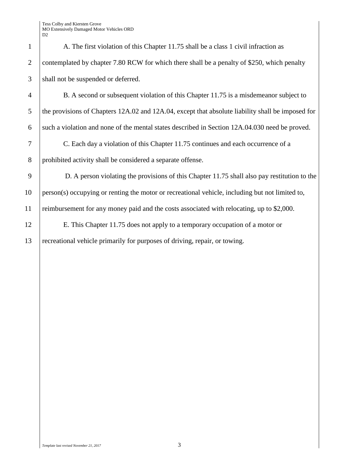Tess Colby and Kiersten Grove MO Extensively Damaged Motor Vehicles ORD

| $\mu$ LARCHSIVCI<br>D2 |
|------------------------|
|                        |
| contempla              |
| shall not b            |
| B.                     |
| the provisi            |
| such a viol            |
| $\overline{C}$ .       |
| prohibited             |
| D.                     |
| person(s)              |
| reimburser             |
| E.'                    |
|                        |

1 A. The first violation of this Chapter 11.75 shall be a class 1 civil infraction as 2 contemplated by chapter 7.80 RCW for which there shall be a penalty of \$250, which penalty 3 shall not be suspended or deferred.

4 B. A second or subsequent violation of this Chapter 11.75 is a misdemeanor subject to 5 the provisions of Chapters 12A.02 and 12A.04, except that absolute liability shall be imposed for 6 such a violation and none of the mental states described in Section 12A.04.030 need be proved. 7 C. Each day a violation of this Chapter 11.75 continues and each occurrence of a

8 prohibited activity shall be considered a separate offense.

9 D. A person violating the provisions of this Chapter 11.75 shall also pay restitution to the 10 person(s) occupying or renting the motor or recreational vehicle, including but not limited to, 11 reimbursement for any money paid and the costs associated with relocating, up to \$2,000.

12 E. This Chapter 11.75 does not apply to a temporary occupation of a motor or 13 recreational vehicle primarily for purposes of driving, repair, or towing.